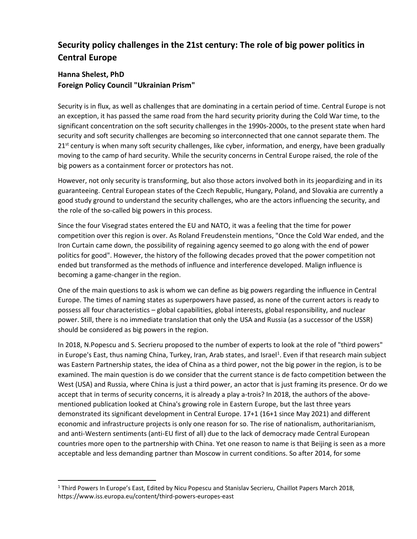# **Security policy challenges in the 21st century: The role of big power politics in Central Europe**

## **Hanna Shelest, PhD Foreign Policy Council "Ukrainian Prism"**

Security is in flux, as well as challenges that are dominating in a certain period of time. Central Europe is not an exception, it has passed the same road from the hard security priority during the Cold War time, to the significant concentration on the soft security challenges in the 1990s-2000s, to the present state when hard security and soft security challenges are becoming so interconnected that one cannot separate them. The  $21<sup>st</sup>$  century is when many soft security challenges, like cyber, information, and energy, have been gradually moving to the camp of hard security. While the security concerns in Central Europe raised, the role of the big powers as a containment forcer or protectors has not.

However, not only security is transforming, but also those actors involved both in its jeopardizing and in its guaranteeing. Central European states of the Czech Republic, Hungary, Poland, and Slovakia are currently a good study ground to understand the security challenges, who are the actors influencing the security, and the role of the so-called big powers in this process.

Since the four Visegrad states entered the EU and NATO, it was a feeling that the time for power competition over this region is over. As Roland Freudenstein mentions, "Once the Cold War ended, and the Iron Curtain came down, the possibility of regaining agency seemed to go along with the end of power politics for good". However, the history of the following decades proved that the power competition not ended but transformed as the methods of influence and interference developed. Malign influence is becoming a game-changer in the region.

One of the main questions to ask is whom we can define as big powers regarding the influence in Central Europe. The times of naming states as superpowers have passed, as none of the current actors is ready to possess all four characteristics – global capabilities, global interests, global responsibility, and nuclear power. Still, there is no immediate translation that only the USA and Russia (as a successor of the USSR) should be considered as big powers in the region.

In 2018, N.Popescu and S. Secrieru proposed to the number of experts to look at the role of "third powers" in Europe's East, thus naming China, Turkey, Iran, Arab states, and Israel<sup>1</sup>. Even if that research main subject was Eastern Partnership states, the idea of China as a third power, not the big power in the region, is to be examined. The main question is do we consider that the current stance is de facto competition between the West (USA) and Russia, where China is just a third power, an actor that is just framing its presence. Or do we accept that in terms of security concerns, it is already a play a-trois? In 2018, the authors of the abovementioned publication looked at China's growing role in Eastern Europe, but the last three years demonstrated its significant development in Central Europe. 17+1 (16+1 since May 2021) and different economic and infrastructure projects is only one reason for so. The rise of nationalism, authoritarianism, and anti-Western sentiments (anti-EU first of all) due to the lack of democracy made Central European countries more open to the partnership with China. Yet one reason to name is that Beijing is seen as a more acceptable and less demanding partner than Moscow in current conditions. So after 2014, for some

<sup>1</sup> Third Powers In Europe's East, Edited by Nicu Popescu and Stanislav Secrieru, Chaillot Papers March 2018, https://www.iss.europa.eu/content/third-powers-europes-east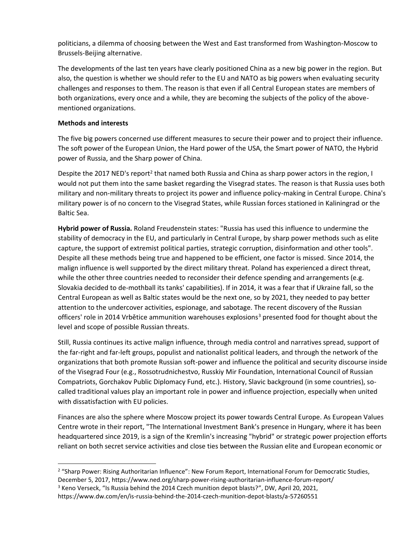politicians, a dilemma of choosing between the West and East transformed from Washington-Moscow to Brussels-Beijing alternative.

The developments of the last ten years have clearly positioned China as a new big power in the region. But also, the question is whether we should refer to the EU and NATO as big powers when evaluating security challenges and responses to them. The reason is that even if all Central European states are members of both organizations, every once and a while, they are becoming the subjects of the policy of the abovementioned organizations.

#### **Methods and interests**

The five big powers concerned use different measures to secure their power and to project their influence. The soft power of the European Union, the Hard power of the USA, the Smart power of NATO, the Hybrid power of Russia, and the Sharp power of China.

Despite the 2017 NED's report<sup>2</sup> that named both Russia and China as sharp power actors in the region, I would not put them into the same basket regarding the Visegrad states. The reason is that Russia uses both military and non-military threats to project its power and influence policy-making in Central Europe. China's military power is of no concern to the Visegrad States, while Russian forces stationed in Kaliningrad or the Baltic Sea.

**Hybrid power of Russia.** Roland Freudenstein states: "Russia has used this influence to undermine the stability of democracy in the EU, and particularly in Central Europe, by sharp power methods such as elite capture, the support of extremist political parties, strategic corruption, disinformation and other tools". Despite all these methods being true and happened to be efficient, one factor is missed. Since 2014, the malign influence is well supported by the direct military threat. Poland has experienced a direct threat, while the other three countries needed to reconsider their defence spending and arrangements (e.g. Slovakia decided to de-mothball its tanks' capabilities). If in 2014, it was a fear that if Ukraine fall, so the Central European as well as Baltic states would be the next one, so by 2021, they needed to pay better attention to the undercover activities, espionage, and sabotage. The recent discovery of the Russian officers' role in 2014 Vrbětice ammunition warehouses explosions<sup>3</sup> presented food for thought about the level and scope of possible Russian threats.

Still, Russia continues its active malign influence, through media control and narratives spread, support of the far-right and far-left groups, populist and nationalist political leaders, and through the network of the organizations that both promote Russian soft-power and influence the political and security discourse inside of the Visegrad Four (e.g., Rossotrudnichestvo, Russkiy Mir Foundation, International Council of Russian Compatriots, Gorchakov Public Diplomacy Fund, etc.). History, Slavic background (in some countries), socalled traditional values play an important role in power and influence projection, especially when united with dissatisfaction with EU policies.

Finances are also the sphere where Moscow project its power towards Central Europe. As European Values Centre wrote in their report, "The International Investment Bank's presence in Hungary, where it has been headquartered since 2019, is a sign of the Kremlin's increasing "hybrid" or strategic power projection efforts reliant on both secret service activities and close ties between the Russian elite and European economic or

<sup>&</sup>lt;sup>2</sup> "Sharp Power: Rising Authoritarian Influence": New Forum Report, International Forum for Democratic Studies,

December 5, 2017, https://www.ned.org/sharp-power-rising-authoritarian-influence-forum-report/

<sup>&</sup>lt;sup>3</sup> Keno Verseck, "Is Russia behind the 2014 Czech munition depot blasts?", DW, April 20, 2021,

https://www.dw.com/en/is-russia-behind-the-2014-czech-munition-depot-blasts/a-57260551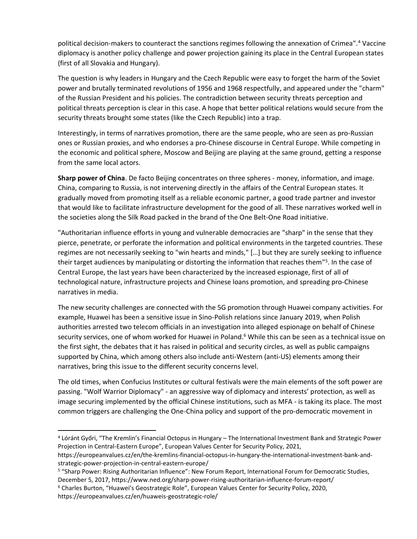political decision-makers to counteract the sanctions regimes following the annexation of Crimea". <sup>4</sup> Vaccine diplomacy is another policy challenge and power projection gaining its place in the Central European states (first of all Slovakia and Hungary).

The question is why leaders in Hungary and the Czech Republic were easy to forget the harm of the Soviet power and brutally terminated revolutions of 1956 and 1968 respectfully, and appeared under the "charm" of the Russian President and his policies. The contradiction between security threats perception and political threats perception is clear in this case. A hope that better political relations would secure from the security threats brought some states (like the Czech Republic) into a trap.

Interestingly, in terms of narratives promotion, there are the same people, who are seen as pro-Russian ones or Russian proxies, and who endorses a pro-Chinese discourse in Central Europe. While competing in the economic and political sphere, Moscow and Beijing are playing at the same ground, getting a response from the same local actors.

**Sharp power of China**. De facto Beijing concentrates on three spheres - money, information, and image. China, comparing to Russia, is not intervening directly in the affairs of the Central European states. It gradually moved from promoting itself as a reliable economic partner, a good trade partner and investor that would like to facilitate infrastructure development for the good of all. These narratives worked well in the societies along the Silk Road packed in the brand of the One Belt-One Road initiative.

"Authoritarian influence efforts in young and vulnerable democracies are "sharp" in the sense that they pierce, penetrate, or perforate the information and political environments in the targeted countries. These regimes are not necessarily seeking to "win hearts and minds," […] but they are surely seeking to influence their target audiences by manipulating or distorting the information that reaches them"<sup>5</sup>. In the case of Central Europe, the last years have been characterized by the increased espionage, first of all of technological nature, infrastructure projects and Chinese loans promotion, and spreading pro-Chinese narratives in media.

The new security challenges are connected with the 5G promotion through Huawei company activities. For example, Huawei has been a sensitive issue in Sino-Polish relations since January 2019, when Polish authorities arrested two telecom officials in an investigation into alleged espionage on behalf of Chinese security services, one of whom worked for Huawei in Poland.<sup>6</sup> While this can be seen as a technical issue on the first sight, the debates that it has raised in political and security circles, as well as public campaigns supported by China, which among others also include anti-Western (anti-US) elements among their narratives, bring this issue to the different security concerns level.

The old times, when Confucius Institutes or cultural festivals were the main elements of the soft power are passing. "Wolf Warrior Diplomacy" - an aggressive way of diplomacy and interests' protection, as well as image securing implemented by the official Chinese institutions, such as MFA - is taking its place. The most common triggers are challenging the One-China policy and support of the pro-democratic movement in

https://europeanvalues.cz/en/huaweis-geostrategic-role/

<sup>4</sup> Lóránt Győri, "The Kremlin's Financial Octopus in Hungary – The International Investment Bank and Strategic Power Projection in Central-Eastern Europe", European Values Center for Security Policy, 2021,

https://europeanvalues.cz/en/the-kremlins-financial-octopus-in-hungary-the-international-investment-bank-andstrategic-power-projection-in-central-eastern-europe/

<sup>5</sup> "Sharp Power: Rising Authoritarian Influence": New Forum Report, International Forum for Democratic Studies, December 5, 2017, https://www.ned.org/sharp-power-rising-authoritarian-influence-forum-report/

<sup>6</sup> Charles Burton, "Huawei's Geostrategic Role", European Values Center for Security Policy, 2020,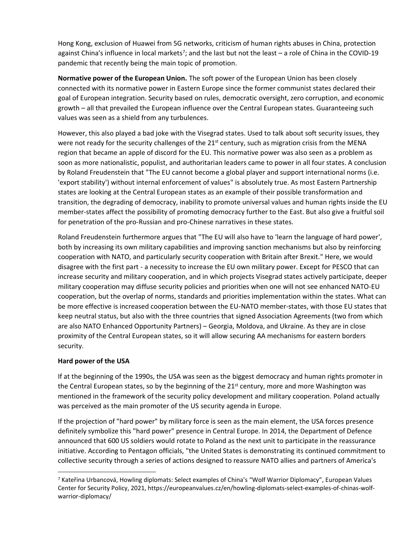Hong Kong, exclusion of Huawei from 5G networks, criticism of human rights abuses in China, protection against China's influence in local markets<sup>7</sup>; and the last but not the least – a role of China in the COVID-19 pandemic that recently being the main topic of promotion.

**Normative power of the European Union.** The soft power of the European Union has been closely connected with its normative power in Eastern Europe since the former communist states declared their goal of European integration. Security based on rules, democratic oversight, zero corruption, and economic growth – all that prevailed the European influence over the Central European states. Guaranteeing such values was seen as a shield from any turbulences.

However, this also played a bad joke with the Visegrad states. Used to talk about soft security issues, they were not ready for the security challenges of the 21<sup>st</sup> century, such as migration crisis from the MENA region that became an apple of discord for the EU. This normative power was also seen as a problem as soon as more nationalistic, populist, and authoritarian leaders came to power in all four states. A conclusion by Roland Freudenstein that "The EU cannot become a global player and support international norms (i.e. 'export stability') without internal enforcement of values" is absolutely true. As most Eastern Partnership states are looking at the Central European states as an example of their possible transformation and transition, the degrading of democracy, inability to promote universal values and human rights inside the EU member-states affect the possibility of promoting democracy further to the East. But also give a fruitful soil for penetration of the pro-Russian and pro-Chinese narratives in these states.

Roland Freudenstein furthermore argues that "The EU will also have to 'learn the language of hard power', both by increasing its own military capabilities and improving sanction mechanisms but also by reinforcing cooperation with NATO, and particularly security cooperation with Britain after Brexit." Here, we would disagree with the first part - a necessity to increase the EU own military power. Except for PESCO that can increase security and military cooperation, and in which projects Visegrad states actively participate, deeper military cooperation may diffuse security policies and priorities when one will not see enhanced NATO-EU cooperation, but the overlap of norms, standards and priorities implementation within the states. What can be more effective is increased cooperation between the EU-NATO member-states, with those EU states that keep neutral status, but also with the three countries that signed Association Agreements (two from which are also NATO Enhanced Opportunity Partners) – Georgia, Moldova, and Ukraine. As they are in close proximity of the Central European states, so it will allow securing AA mechanisms for eastern borders security.

#### **Hard power of the USA**

If at the beginning of the 1990s, the USA was seen as the biggest democracy and human rights promoter in the Central European states, so by the beginning of the 21<sup>st</sup> century, more and more Washington was mentioned in the framework of the security policy development and military cooperation. Poland actually was perceived as the main promoter of the US security agenda in Europe.

If the projection of "hard power" by military force is seen as the main element, the USA forces presence definitely symbolize this "hard power" presence in Central Europe. In 2014, the Department of Defence announced that 600 US soldiers would rotate to Poland as the next unit to participate in the reassurance initiative. According to Pentagon officials, "the United States is demonstrating its continued commitment to collective security through a series of actions designed to reassure NATO allies and partners of America's

<sup>7</sup> Kateřina Urbancová, Howling diplomats: Select examples of China's "Wolf Warrior Diplomacy", European Values Center for Security Policy, 2021, https://europeanvalues.cz/en/howling-diplomats-select-examples-of-chinas-wolfwarrior-diplomacy/